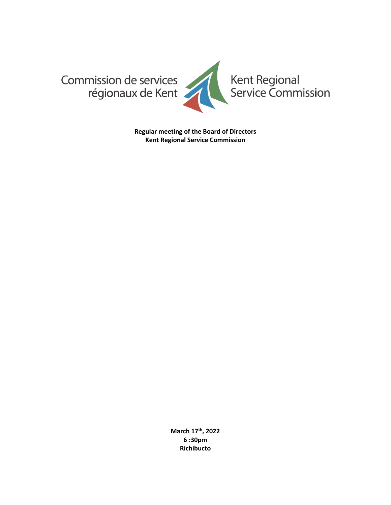

**Regular meeting of the Board of Directors Kent Regional Service Commission**

> **March 17th , 2022 6 :30pm Richibucto**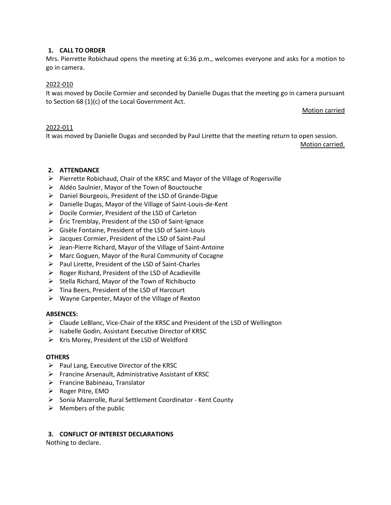## **1. CALL TO ORDER**

Mrs. Pierrette Robichaud opens the meeting at 6:36 p.m., welcomes everyone and asks for a motion to go in camera.

#### 2022-010

It was moved by Docile Cormier and seconded by Danielle Dugas that the meeting go in camera pursuant to Section 68 (1)(c) of the Local Government Act.

Motion carried

#### 2022-011

It was moved by Danielle Dugas and seconded by Paul Lirette that the meeting return to open session.

Motion carried.

## **2. ATTENDANCE**

- ➢ Pierrette Robichaud, Chair of the KRSC and Mayor of the Village of Rogersville
- ➢ Aldéo Saulnier, Mayor of the Town of Bouctouche
- ➢ Daniel Bourgeois, President of the LSD of Grande-Digue
- ➢ Danielle Dugas, Mayor of the Village of Saint-Louis-de-Kent
- ➢ Docile Cormier, President of the LSD of Carleton
- ➢ Éric Tremblay, President of the LSD of Saint-Ignace
- ➢ Gisèle Fontaine, President of the LSD of Saint-Louis
- ➢ Jacques Cormier, President of the LSD of Saint-Paul
- $\triangleright$  Jean-Pierre Richard, Mayor of the Village of Saint-Antoine
- ➢ Marc Goguen, Mayor of the Rural Community of Cocagne
- ➢ Paul Lirette, President of the LSD of Saint-Charles
- ➢ Roger Richard, President of the LSD of Acadieville
- $\triangleright$  Stella Richard, Mayor of the Town of Richibucto
- ➢ Tina Beers, President of the LSD of Harcourt
- ➢ Wayne Carpenter, Mayor of the Village of Rexton

#### **ABSENCES:**

- ➢ Claude LeBlanc, Vice-Chair of the KRSC and President of the LSD of Wellington
- $\triangleright$  Isabelle Godin, Assistant Executive Director of KRSC
- ➢ Kris Morey, President of the LSD of Weldford

#### **OTHERS**

- $\triangleright$  Paul Lang, Executive Director of the KRSC
- ➢ Francine Arsenault, Administrative Assistant of KRSC
- ➢ Francine Babineau, Translator
- ➢ Roger Pitre, EMO
- ➢ Sonia Mazerolle, Rural Settlement Coordinator Kent County
- $\triangleright$  Members of the public

#### **3. CONFLICT OF INTEREST DECLARATIONS**

Nothing to declare.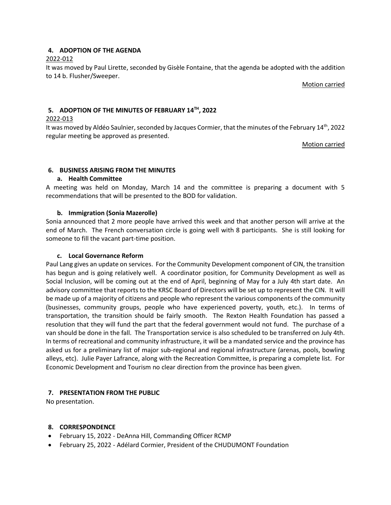# **4. ADOPTION OF THE AGENDA**

# 2022-012

It was moved by Paul Lirette, seconded by Gisèle Fontaine, that the agenda be adopted with the addition to 14 b. Flusher/Sweeper.

Motion carried

# **5. ADOPTION OF THE MINUTES OF FEBRUARY 14TH, 2022**

## 2022-013

It was moved by Aldéo Saulnier, seconded by Jacques Cormier, that the minutes of the February 14th, 2022 regular meeting be approved as presented.

Motion carried

# **6. BUSINESS ARISING FROM THE MINUTES**

# **a. Health Committee**

A meeting was held on Monday, March 14 and the committee is preparing a document with 5 recommendations that will be presented to the BOD for validation.

# **b. Immigration (Sonia Mazerolle)**

Sonia announced that 2 more people have arrived this week and that another person will arrive at the end of March. The French conversation circle is going well with 8 participants. She is still looking for someone to fill the vacant part-time position.

## **c. Local Governance Reform**

Paul Lang gives an update on services. For the Community Development component of CIN, the transition has begun and is going relatively well. A coordinator position, for Community Development as well as Social Inclusion, will be coming out at the end of April, beginning of May for a July 4th start date. An advisory committee that reports to the KRSC Board of Directors will be set up to represent the CIN. It will be made up of a majority of citizens and people who represent the various components of the community (businesses, community groups, people who have experienced poverty, youth, etc.). In terms of transportation, the transition should be fairly smooth. The Rexton Health Foundation has passed a resolution that they will fund the part that the federal government would not fund. The purchase of a van should be done in the fall. The Transportation service is also scheduled to be transferred on July 4th. In terms of recreational and community infrastructure, it will be a mandated service and the province has asked us for a preliminary list of major sub-regional and regional infrastructure (arenas, pools, bowling alleys, etc). Julie Payer Lafrance, along with the Recreation Committee, is preparing a complete list. For Economic Development and Tourism no clear direction from the province has been given.

# **7. PRESENTATION FROM THE PUBLIC**

No presentation.

## **8. CORRESPONDENCE**

- February 15, 2022 DeAnna Hill, Commanding Officer RCMP
- February 25, 2022 Adélard Cormier, President of the CHUDUMONT Foundation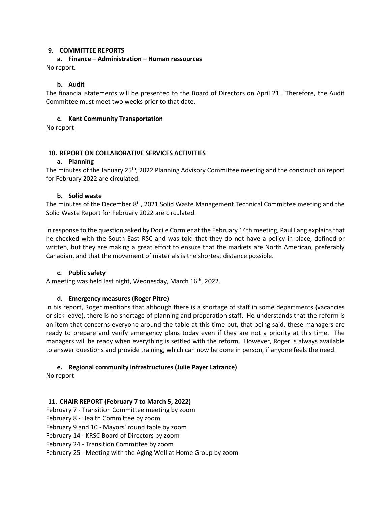#### **9. COMMITTEE REPORTS**

# **a. Finance – Administration – Human ressources**

No report.

# **b. Audit**

The financial statements will be presented to the Board of Directors on April 21. Therefore, the Audit Committee must meet two weeks prior to that date.

#### **c. Kent Community Transportation**

No report

## **10. REPORT ON COLLABORATIVE SERVICES ACTIVITIES**

#### **a. Planning**

The minutes of the January 25<sup>th</sup>, 2022 Planning Advisory Committee meeting and the construction report for February 2022 are circulated.

#### **b. Solid waste**

The minutes of the December 8<sup>th</sup>, 2021 Solid Waste Management Technical Committee meeting and the Solid Waste Report for February 2022 are circulated.

In response to the question asked by Docile Cormier at the February 14th meeting, Paul Lang explainsthat he checked with the South East RSC and was told that they do not have a policy in place, defined or written, but they are making a great effort to ensure that the markets are North American, preferably Canadian, and that the movement of materials is the shortest distance possible.

#### **c. Public safety**

A meeting was held last night, Wednesday, March  $16<sup>th</sup>$ , 2022.

## **d. Emergency measures (Roger Pitre)**

In his report, Roger mentions that although there is a shortage of staff in some departments (vacancies or sick leave), there is no shortage of planning and preparation staff. He understands that the reform is an item that concerns everyone around the table at this time but, that being said, these managers are ready to prepare and verify emergency plans today even if they are not a priority at this time. The managers will be ready when everything is settled with the reform. However, Roger is always available to answer questions and provide training, which can now be done in person, if anyone feels the need.

## **e. Regional community infrastructures (Julie Payer Lafrance)**

No report

## **11. CHAIR REPORT (February 7 to March 5, 2022)**

February 7 - Transition Committee meeting by zoom

February 8 - Health Committee by zoom

February 9 and 10 - Mayors' round table by zoom

February 14 - KRSC Board of Directors by zoom

February 24 - Transition Committee by zoom

February 25 - Meeting with the Aging Well at Home Group by zoom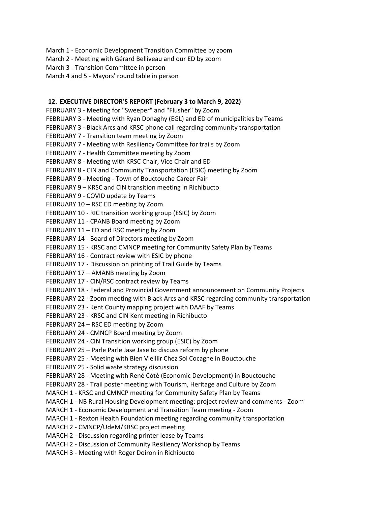- March 1 Economic Development Transition Committee by zoom
- March 2 Meeting with Gérard Belliveau and our ED by zoom
- March 3 Transition Committee in person
- March 4 and 5 Mayors' round table in person

## **12. EXECUTIVE DIRECTOR'S REPORT (February 3 to March 9, 2022)**

FEBRUARY 3 - Meeting for "Sweeper" and "Flusher" by Zoom FEBRUARY 3 - Meeting with Ryan Donaghy (EGL) and ED of municipalities by Teams FEBRUARY 3 - Black Arcs and KRSC phone call regarding community transportation FEBRUARY 7 - Transition team meeting by Zoom FEBRUARY 7 - Meeting with Resiliency Committee for trails by Zoom FEBRUARY 7 - Health Committee meeting by Zoom FEBRUARY 8 - Meeting with KRSC Chair, Vice Chair and ED FEBRUARY 8 - CIN and Community Transportation (ESIC) meeting by Zoom FEBRUARY 9 - Meeting - Town of Bouctouche Career Fair FEBRUARY 9 – KRSC and CIN transition meeting in Richibucto FEBRUARY 9 - COVID update by Teams FEBRUARY 10 – RSC ED meeting by Zoom FEBRUARY 10 - RIC transition working group (ESIC) by Zoom FEBRUARY 11 - CPANB Board meeting by Zoom FEBRUARY 11 – ED and RSC meeting by Zoom FEBRUARY 14 - Board of Directors meeting by Zoom FEBRUARY 15 - KRSC and CMNCP meeting for Community Safety Plan by Teams FEBRUARY 16 - Contract review with ESIC by phone FEBRUARY 17 - Discussion on printing of Trail Guide by Teams FEBRUARY 17 – AMANB meeting by Zoom FEBRUARY 17 - CIN/RSC contract review by Teams FEBRUARY 18 - Federal and Provincial Government announcement on Community Projects FEBRUARY 22 - Zoom meeting with Black Arcs and KRSC regarding community transportation FEBRUARY 23 - Kent County mapping project with DAAF by Teams FEBRUARY 23 - KRSC and CIN Kent meeting in Richibucto FEBRUARY 24 – RSC ED meeting by Zoom FEBRUARY 24 - CMNCP Board meeting by Zoom FEBRUARY 24 - CIN Transition working group (ESIC) by Zoom FEBRUARY 25 – Parle Parle Jase Jase to discuss reform by phone FEBRUARY 25 - Meeting with Bien Vieillir Chez Soi Cocagne in Bouctouche FEBRUARY 25 - Solid waste strategy discussion FEBRUARY 28 - Meeting with René Côté (Economic Development) in Bouctouche FEBRUARY 28 - Trail poster meeting with Tourism, Heritage and Culture by Zoom MARCH 1 - KRSC and CMNCP meeting for Community Safety Plan by Teams MARCH 1 - NB Rural Housing Development meeting: project review and comments - Zoom MARCH 1 - Economic Development and Transition Team meeting - Zoom MARCH 1 - Rexton Health Foundation meeting regarding community transportation MARCH 2 - CMNCP/UdeM/KRSC project meeting MARCH 2 - Discussion regarding printer lease by Teams MARCH 2 - Discussion of Community Resiliency Workshop by Teams

MARCH 3 - Meeting with Roger Doiron in Richibucto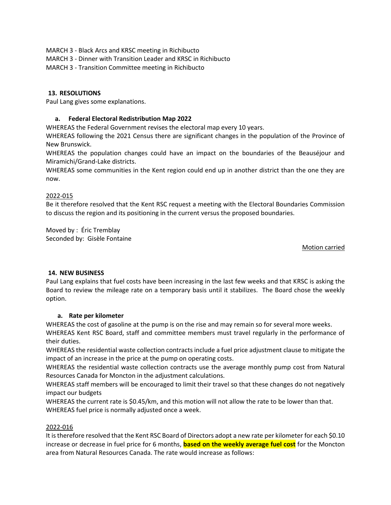- MARCH 3 Black Arcs and KRSC meeting in Richibucto
- MARCH 3 Dinner with Transition Leader and KRSC in Richibucto

MARCH 3 - Transition Committee meeting in Richibucto

# **13. RESOLUTIONS**

Paul Lang gives some explanations.

# **a. Federal Electoral Redistribution Map 2022**

WHEREAS the Federal Government revises the electoral map every 10 years.

WHEREAS following the 2021 Census there are significant changes in the population of the Province of New Brunswick.

WHEREAS the population changes could have an impact on the boundaries of the Beauséjour and Miramichi/Grand-Lake districts.

WHEREAS some communities in the Kent region could end up in another district than the one they are now.

# 2022-015

Be it therefore resolved that the Kent RSC request a meeting with the Electoral Boundaries Commission to discuss the region and its positioning in the current versus the proposed boundaries.

Moved by : Éric Tremblay Seconded by: Gisèle Fontaine

## Motion carried

# **14. NEW BUSINESS**

Paul Lang explains that fuel costs have been increasing in the last few weeks and that KRSC is asking the Board to review the mileage rate on a temporary basis until it stabilizes. The Board chose the weekly option.

## **a. Rate per kilometer**

WHEREAS the cost of gasoline at the pump is on the rise and may remain so for several more weeks. WHEREAS Kent RSC Board, staff and committee members must travel regularly in the performance of their duties.

WHEREAS the residential waste collection contracts include a fuel price adjustment clause to mitigate the impact of an increase in the price at the pump on operating costs.

WHEREAS the residential waste collection contracts use the average monthly pump cost from Natural Resources Canada for Moncton in the adjustment calculations.

WHEREAS staff members will be encouraged to limit their travel so that these changes do not negatively impact our budgets

WHEREAS the current rate is \$0.45/km, and this motion will not allow the rate to be lower than that. WHEREAS fuel price is normally adjusted once a week.

## 2022-016

It is therefore resolved that the Kent RSC Board of Directors adopt a new rate per kilometer for each \$0.10 increase or decrease in fuel price for 6 months, **based on the weekly average fuel cost** for the Moncton area from Natural Resources Canada. The rate would increase as follows: